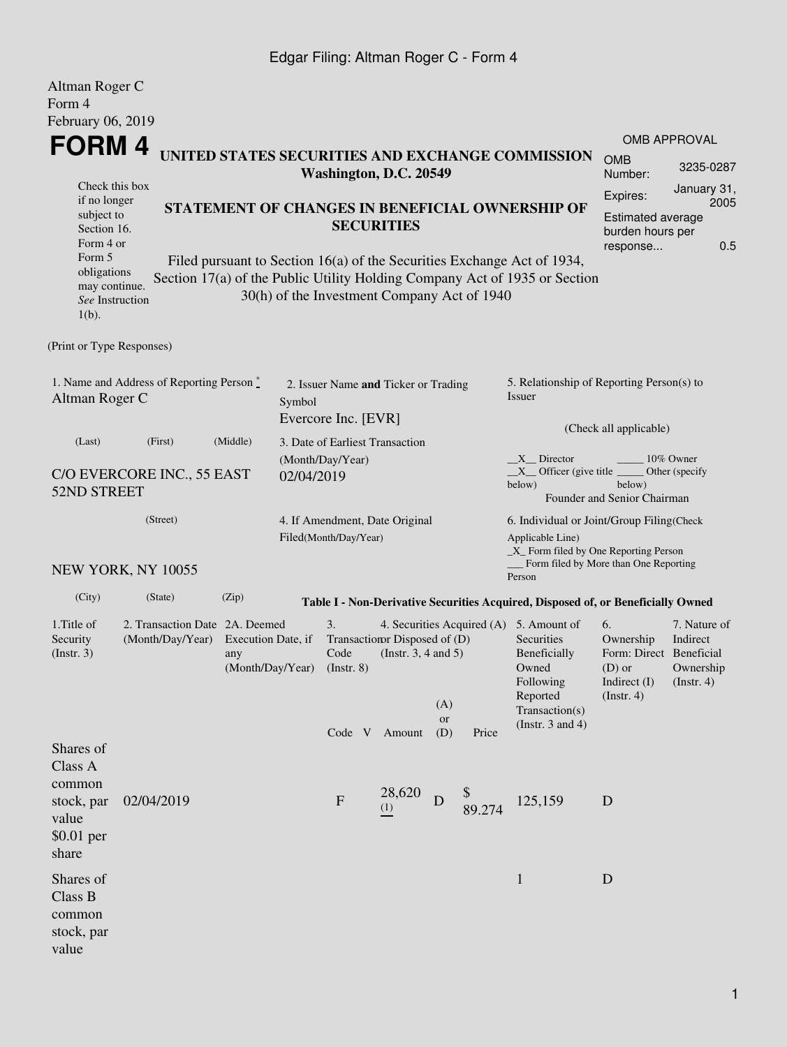## Edgar Filing: Altman Roger C - Form 4

| Altman Roger C<br>Form 4<br>February 06, 2019                                                                               |                                                    |                           |            |                                                             |                                                                          |                         |       |                                                                                                                                                                                                                                        |                                                                                         |                                                           |  |
|-----------------------------------------------------------------------------------------------------------------------------|----------------------------------------------------|---------------------------|------------|-------------------------------------------------------------|--------------------------------------------------------------------------|-------------------------|-------|----------------------------------------------------------------------------------------------------------------------------------------------------------------------------------------------------------------------------------------|-----------------------------------------------------------------------------------------|-----------------------------------------------------------|--|
| FORM 4                                                                                                                      |                                                    |                           |            |                                                             |                                                                          |                         |       |                                                                                                                                                                                                                                        |                                                                                         | <b>OMB APPROVAL</b>                                       |  |
|                                                                                                                             |                                                    |                           |            | Washington, D.C. 20549                                      |                                                                          |                         |       | UNITED STATES SECURITIES AND EXCHANGE COMMISSION                                                                                                                                                                                       | <b>OMB</b><br>Number:                                                                   | 3235-0287                                                 |  |
| Check this box<br>if no longer<br>STATEMENT OF CHANGES IN BENEFICIAL OWNERSHIP OF<br>subject to<br>Section 16.<br>Form 4 or |                                                    |                           |            |                                                             | <b>SECURITIES</b>                                                        |                         |       | Expires:<br>Estimated average<br>burden hours per                                                                                                                                                                                      | January 31,<br>2005                                                                     |                                                           |  |
| Form 5<br>obligations<br>may continue.<br>See Instruction<br>$1(b)$ .                                                       |                                                    |                           |            | 30(h) of the Investment Company Act of 1940                 |                                                                          |                         |       | Filed pursuant to Section 16(a) of the Securities Exchange Act of 1934,<br>Section 17(a) of the Public Utility Holding Company Act of 1935 or Section                                                                                  | response                                                                                | 0.5                                                       |  |
| (Print or Type Responses)                                                                                                   |                                                    |                           |            |                                                             |                                                                          |                         |       |                                                                                                                                                                                                                                        |                                                                                         |                                                           |  |
| 1. Name and Address of Reporting Person *<br>Altman Roger C<br>Symbol                                                       |                                                    |                           |            | 2. Issuer Name and Ticker or Trading<br>Evercore Inc. [EVR] |                                                                          |                         |       | 5. Relationship of Reporting Person(s) to<br>Issuer                                                                                                                                                                                    |                                                                                         |                                                           |  |
| (Last)                                                                                                                      | (Middle)<br>(First)                                |                           |            | 3. Date of Earliest Transaction                             |                                                                          |                         |       | (Check all applicable)                                                                                                                                                                                                                 |                                                                                         |                                                           |  |
| 52ND STREET                                                                                                                 | C/O EVERCORE INC., 55 EAST                         |                           | 02/04/2019 | (Month/Day/Year)                                            |                                                                          |                         |       | X Director<br>$X$ Officer (give title $\overline{\phantom{A}}$<br>below)                                                                                                                                                               | below)<br>Founder and Senior Chairman                                                   | 10% Owner<br>Other (specify                               |  |
|                                                                                                                             | (Street)<br>NEW YORK, NY 10055                     |                           |            | 4. If Amendment, Date Original<br>Filed(Month/Day/Year)     |                                                                          |                         |       | 6. Individual or Joint/Group Filing(Check<br>Applicable Line)<br>$\_X$ Form filed by One Reporting Person<br>Form filed by More than One Reporting                                                                                     |                                                                                         |                                                           |  |
| (City)                                                                                                                      | (State)                                            | (Zip)                     |            |                                                             |                                                                          |                         |       | Person                                                                                                                                                                                                                                 |                                                                                         |                                                           |  |
| 1. Title of<br>Security<br>(Insert. 3)                                                                                      | 2. Transaction Date 2A. Deemed<br>(Month/Day/Year) | Execution Date, if<br>any |            | 3.<br>Code<br>(Month/Day/Year) (Instr. 8)                   | Transaction Disposed of (D)<br>(Instr. $3, 4$ and $5$ )<br>Code V Amount | (A)<br><b>or</b><br>(D) | Price | Table I - Non-Derivative Securities Acquired, Disposed of, or Beneficially Owned<br>4. Securities Acquired (A) 5. Amount of<br>Securities<br>Beneficially<br>Owned<br>Following<br>Reported<br>Transaction(s)<br>(Instr. $3$ and $4$ ) | 6.<br>Ownership<br>Form: Direct Beneficial<br>$(D)$ or<br>Indirect $(I)$<br>(Insert. 4) | 7. Nature of<br>Indirect<br>Ownership<br>$($ Instr. 4 $)$ |  |
| Shares of<br>Class A<br>common<br>stock, par<br>value<br>\$0.01 per<br>share                                                | 02/04/2019                                         |                           |            | $\mathbf{F}$                                                | 28,620<br>(1)                                                            | D                       |       | 125,159                                                                                                                                                                                                                                | D                                                                                       |                                                           |  |
| Shares of<br>Class B<br>common<br>stock, par<br>value                                                                       |                                                    |                           |            |                                                             |                                                                          |                         |       | $\mathbf{1}$                                                                                                                                                                                                                           | D                                                                                       |                                                           |  |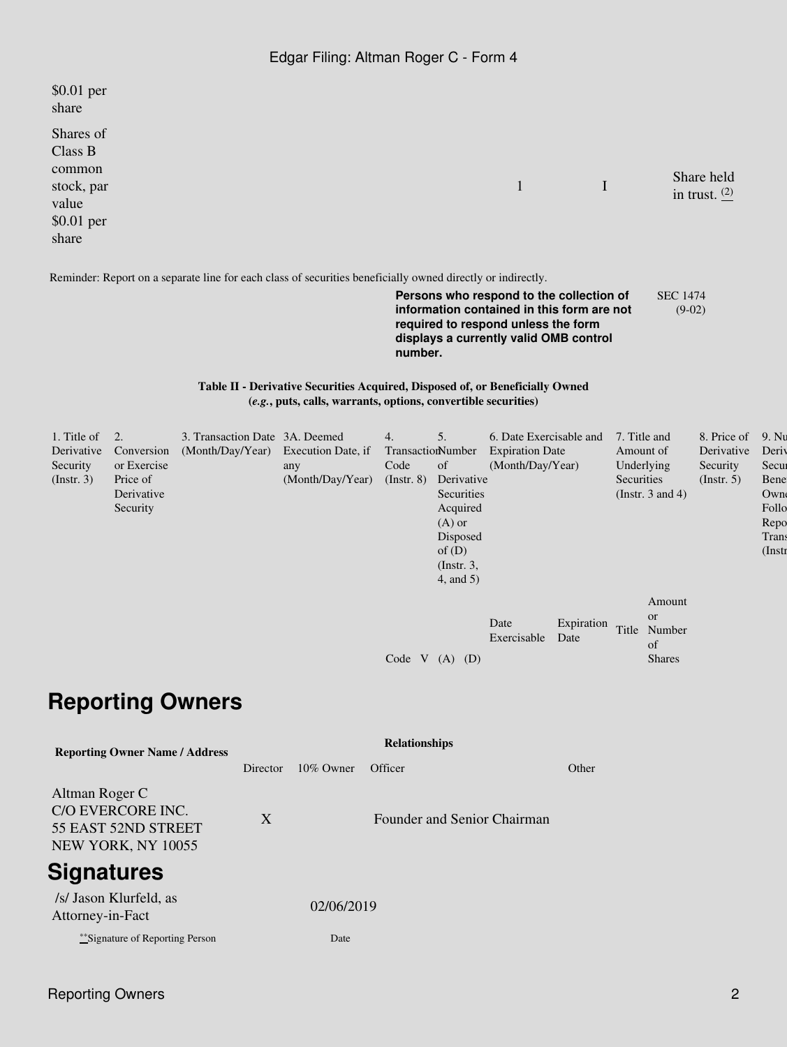| \$0.01 per<br>share                                                          |              |             |                               |
|------------------------------------------------------------------------------|--------------|-------------|-------------------------------|
| Shares of<br>Class B<br>common<br>stock, par<br>value<br>\$0.01 per<br>share | $\mathbf{1}$ | $\mathbf I$ | Share held<br>in trust. $(2)$ |
|                                                                              |              |             |                               |

Reminder: Report on a separate line for each class of securities beneficially owned directly or indirectly.

**Persons who respond to the collection of information contained in this form are not required to respond unless the form displays a currently valid OMB control number.** SEC 1474 (9-02)

## **Table II - Derivative Securities Acquired, Disposed of, or Beneficially Owned (***e.g.***, puts, calls, warrants, options, convertible securities)**

| 1. Title of |             | 3. Transaction Date 3A. Deemed      |                  | 4.                | 5.              | 6. Date Exercisable and |            | 7. Title and          | 8. Price of      | 9. Nu     |
|-------------|-------------|-------------------------------------|------------------|-------------------|-----------------|-------------------------|------------|-----------------------|------------------|-----------|
| Derivative  | Conversion  | (Month/Day/Year) Execution Date, if |                  | TransactionNumber |                 | <b>Expiration Date</b>  |            | Amount of             | Derivative       | Deriy     |
| Security    | or Exercise |                                     | any              | Code              | <sub>of</sub>   | (Month/Day/Year)        |            | Underlying            | Security         | Secur     |
| (Insert. 3) | Price of    |                                     | (Month/Day/Year) | $($ Instr. $8)$   | Derivative      |                         |            | Securities            | $($ Instr. 5 $)$ | Bene      |
|             | Derivative  |                                     |                  |                   | Securities      |                         |            | (Instr. $3$ and $4$ ) |                  | Owne      |
|             | Security    |                                     |                  |                   | Acquired        |                         |            |                       |                  | Follo     |
|             |             |                                     |                  |                   | $(A)$ or        |                         |            |                       |                  | Repo      |
|             |             |                                     |                  |                   | Disposed        |                         |            |                       |                  | Trans     |
|             |             |                                     |                  |                   | of $(D)$        |                         |            |                       |                  | $($ Instr |
|             |             |                                     |                  |                   | $($ Instr. 3,   |                         |            |                       |                  |           |
|             |             |                                     |                  |                   | $4$ , and $5$ ) |                         |            |                       |                  |           |
|             |             |                                     |                  |                   |                 |                         |            | Amount                |                  |           |
|             |             |                                     |                  |                   |                 |                         |            | <b>or</b>             |                  |           |
|             |             |                                     |                  |                   |                 | Date                    | Expiration | Title<br>Number       |                  |           |
|             |             |                                     |                  |                   |                 | Exercisable<br>Date     | of         |                       |                  |           |
|             |             |                                     |                  | Code<br>V         | (D)<br>(A)      |                         |            | <b>Shares</b>         |                  |           |
|             |             |                                     |                  |                   |                 |                         |            |                       |                  |           |

## **Reporting Owners**

| <b>Reporting Owner Name / Address</b>                                            | <b>Relationships</b> |            |                             |       |  |  |  |  |
|----------------------------------------------------------------------------------|----------------------|------------|-----------------------------|-------|--|--|--|--|
|                                                                                  | Director             | 10\% Owner | Officer                     | Other |  |  |  |  |
| Altman Roger C<br>C/O EVERCORE INC.<br>55 EAST 52ND STREET<br>NEW YORK, NY 10055 | X                    |            | Founder and Senior Chairman |       |  |  |  |  |
| <b>Signatures</b>                                                                |                      |            |                             |       |  |  |  |  |
| /s/ Jason Klurfeld, as<br>Attorney-in-Fact                                       |                      | 02/06/2019 |                             |       |  |  |  |  |
| **Signature of Reporting Person                                                  |                      | Date       |                             |       |  |  |  |  |